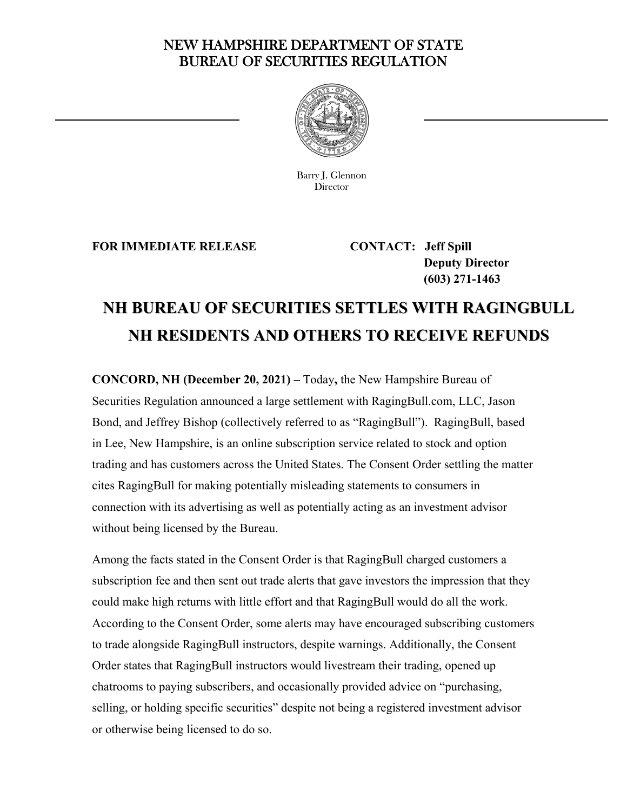## NEW HAMPSHIRE DEPARTMENT OF STATE BUREAU OF SECURITIES REGULATION



Barry J. Glennon **Director** 

**FOR IMMEDIATE RELEASE CONTACT: Jeff Spill** 

<u>—</u>

 **Deputy Director (603) 271-1463** 

## **NH BUREAU OF SECURITIES SETTLES WITH RAGINGBULL NH RESIDENTS AND OTHERS TO RECEIVE REFUNDS**

**CONCORD, NH (December 20, 2021) –** Today**,** the New Hampshire Bureau of Securities Regulation announced a large settlement with RagingBull.com, LLC, Jason Bond, and Jeffrey Bishop (collectively referred to as "RagingBull"). RagingBull, based in Lee, New Hampshire, is an online subscription service related to stock and option trading and has customers across the United States. The Consent Order settling the matter cites RagingBull for making potentially misleading statements to consumers in connection with its advertising as well as potentially acting as an investment advisor without being licensed by the Bureau.

Among the facts stated in the Consent Order is that RagingBull charged customers a subscription fee and then sent out trade alerts that gave investors the impression that they could make high returns with little effort and that RagingBull would do all the work. According to the Consent Order, some alerts may have encouraged subscribing customers to trade alongside RagingBull instructors, despite warnings. Additionally, the Consent Order states that RagingBull instructors would livestream their trading, opened up chatrooms to paying subscribers, and occasionally provided advice on "purchasing, selling, or holding specific securities" despite not being a registered investment advisor or otherwise being licensed to do so.